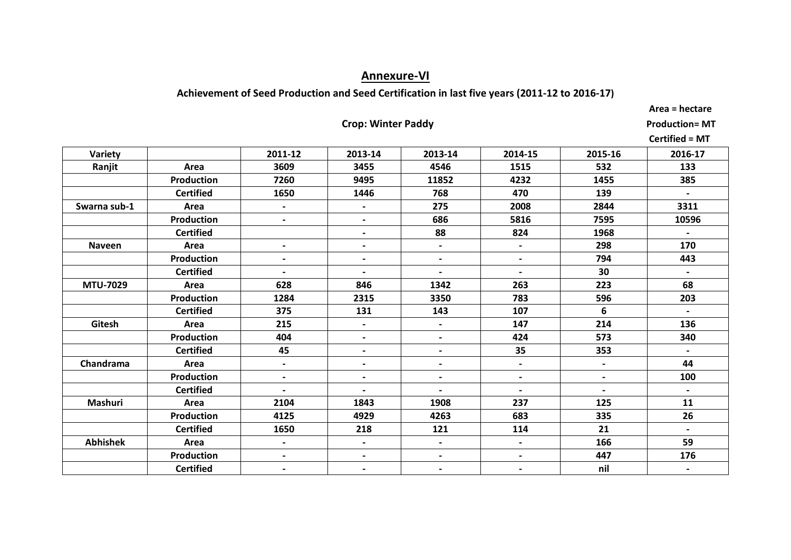# **Annexure-VI**

# **Achievement of Seed Production and Seed Certification in last five years (2011-12 to 2016-17)**

 **Area = hectare**

# **Crop: Winter Paddy Production= MT**

|                 |                   |                          |                          |                          |                          |                          | <b>Certified = MT</b> |
|-----------------|-------------------|--------------------------|--------------------------|--------------------------|--------------------------|--------------------------|-----------------------|
| Variety         |                   | 2011-12                  | 2013-14                  | 2013-14                  | 2014-15                  | 2015-16                  | 2016-17               |
| Ranjit          | Area              | 3609                     | 3455                     | 4546                     | 1515                     | 532                      | 133                   |
|                 | <b>Production</b> | 7260                     | 9495                     | 11852                    | 4232                     | 1455                     | 385                   |
|                 | <b>Certified</b>  | 1650                     | 1446                     | 768                      | 470                      | 139                      | $\blacksquare$        |
| Swarna sub-1    | Area              | $\overline{\phantom{0}}$ | $\overline{\phantom{a}}$ | 275                      | 2008                     | 2844                     | 3311                  |
|                 | <b>Production</b> | $\blacksquare$           | $\overline{\phantom{0}}$ | 686                      | 5816                     | 7595                     | 10596                 |
|                 | <b>Certified</b>  |                          | $\overline{\phantom{0}}$ | 88                       | 824                      | 1968                     | $\sim$                |
| <b>Naveen</b>   | Area              | $\blacksquare$           | $\overline{\phantom{0}}$ | $\blacksquare$           | $\blacksquare$           | 298                      | 170                   |
|                 | <b>Production</b> | $\blacksquare$           | $\overline{\phantom{0}}$ | $\blacksquare$           | $\blacksquare$           | 794                      | 443                   |
|                 | <b>Certified</b>  | $\blacksquare$           | $\overline{\phantom{0}}$ | $\overline{\phantom{a}}$ | $\blacksquare$           | 30                       | $\blacksquare$        |
| <b>MTU-7029</b> | Area              | 628                      | 846                      | 1342                     | 263                      | 223                      | 68                    |
|                 | <b>Production</b> | 1284                     | 2315                     | 3350                     | 783                      | 596                      | 203                   |
|                 | <b>Certified</b>  | 375                      | 131                      | 143                      | 107                      | 6                        | $\blacksquare$        |
| Gitesh          | Area              | 215                      | $\overline{\phantom{0}}$ | $\blacksquare$           | 147                      | 214                      | 136                   |
|                 | <b>Production</b> | 404                      | $\overline{\phantom{a}}$ | $\overline{\phantom{a}}$ | 424                      | 573                      | 340                   |
|                 | <b>Certified</b>  | 45                       | $\overline{\phantom{0}}$ | $\blacksquare$           | 35                       | 353                      | $\blacksquare$        |
| Chandrama       | Area              | $\overline{\phantom{0}}$ | $\overline{\phantom{0}}$ | $\hbox{--}$              | $\overline{\phantom{a}}$ | $\overline{\phantom{0}}$ | 44                    |
|                 | <b>Production</b> | $\blacksquare$           | $\overline{\phantom{0}}$ | $\blacksquare$           | $\blacksquare$           | $\blacksquare$           | 100                   |
|                 | <b>Certified</b>  | $\overline{\phantom{a}}$ | $\overline{\phantom{0}}$ | $\overline{\phantom{a}}$ | $\blacksquare$           | $\overline{\phantom{a}}$ | $\blacksquare$        |
| <b>Mashuri</b>  | Area              | 2104                     | 1843                     | 1908                     | 237                      | 125                      | 11                    |
|                 | <b>Production</b> | 4125                     | 4929                     | 4263                     | 683                      | 335                      | 26                    |
|                 | <b>Certified</b>  | 1650                     | 218                      | 121                      | 114                      | 21                       | $\blacksquare$        |
| <b>Abhishek</b> | Area              | $\blacksquare$           | $\overline{\phantom{0}}$ | $\blacksquare$           | $\blacksquare$           | 166                      | 59                    |
|                 | <b>Production</b> | $\blacksquare$           | $\overline{\phantom{0}}$ | $\blacksquare$           | $\blacksquare$           | 447                      | 176                   |
|                 | <b>Certified</b>  | $\blacksquare$           | $\blacksquare$           | $\hbox{--}$              | $\overline{\phantom{a}}$ | nil                      | $\blacksquare$        |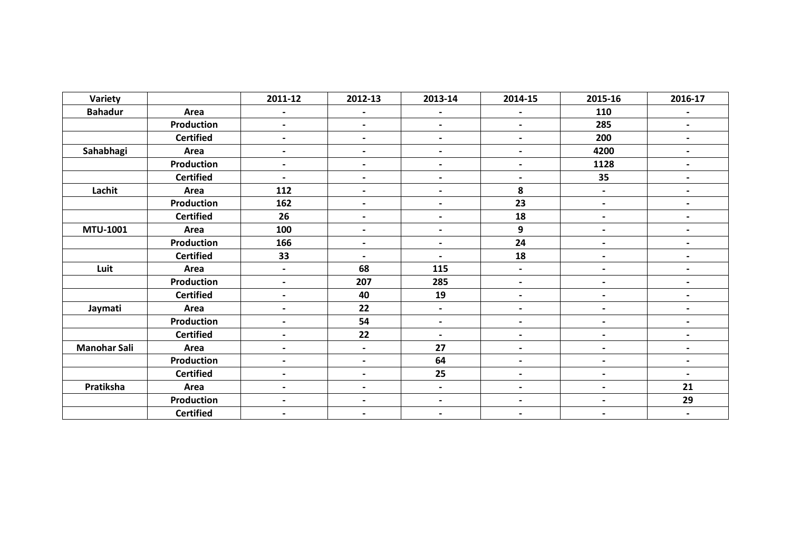| Variety             |                   | 2011-12                  | 2012-13                  | 2013-14                  | 2014-15                  | 2015-16                  | 2016-17                  |
|---------------------|-------------------|--------------------------|--------------------------|--------------------------|--------------------------|--------------------------|--------------------------|
| <b>Bahadur</b>      | Area              | $\overline{\phantom{a}}$ |                          | $\blacksquare$           | $\blacksquare$           | 110                      |                          |
|                     | Production        | $\blacksquare$           | $\blacksquare$           | $\overline{\phantom{a}}$ | $\blacksquare$           | 285                      | $\blacksquare$           |
|                     | <b>Certified</b>  | $\blacksquare$           | $\overline{\phantom{0}}$ | $\overline{\phantom{a}}$ | $\overline{\phantom{a}}$ | 200                      | $\blacksquare$           |
| Sahabhagi           | Area              | $\blacksquare$           | $\blacksquare$           | $\overline{\phantom{a}}$ | $\blacksquare$           | 4200                     | $\blacksquare$           |
|                     | Production        | $\overline{\phantom{0}}$ |                          | $\overline{\phantom{a}}$ | $\blacksquare$           | 1128                     | $\overline{\phantom{a}}$ |
|                     | <b>Certified</b>  | $\overline{\phantom{0}}$ | $\overline{\phantom{a}}$ | $\overline{\phantom{a}}$ | $\overline{\phantom{a}}$ | 35                       | $\blacksquare$           |
| Lachit              | Area              | 112                      | $\overline{\phantom{0}}$ | $\hbox{\small -}$        | 8                        | $\overline{\phantom{a}}$ | $\overline{\phantom{0}}$ |
|                     | <b>Production</b> | 162                      |                          | $\hbox{\small -}$        | 23                       | $\overline{\phantom{a}}$ | $\overline{\phantom{0}}$ |
|                     | <b>Certified</b>  | 26                       |                          | $\blacksquare$           | 18                       | $\overline{\phantom{a}}$ | $\overline{\phantom{0}}$ |
| MTU-1001            | Area              | 100                      |                          | $\overline{\phantom{a}}$ | 9                        | $\overline{\phantom{a}}$ |                          |
|                     | Production        | 166                      |                          | $\hbox{\small -}$        | 24                       | $\overline{\phantom{a}}$ |                          |
|                     | <b>Certified</b>  | 33                       | $\overline{\phantom{0}}$ | $\blacksquare$           | 18                       | $\overline{\phantom{a}}$ |                          |
| Luit                | Area              | $\blacksquare$           | 68                       | 115                      | $\blacksquare$           | $\overline{\phantom{a}}$ |                          |
|                     | Production        | $\overline{\phantom{a}}$ | 207                      | 285                      | $\overline{\phantom{0}}$ | $\blacksquare$           |                          |
|                     | <b>Certified</b>  | $\overline{\phantom{a}}$ | 40                       | 19                       | $\overline{\phantom{a}}$ | $\overline{\phantom{a}}$ | $\overline{\phantom{0}}$ |
| Jaymati             | Area              | $\blacksquare$           | 22                       | $\overline{\phantom{a}}$ | $\blacksquare$           | $\overline{a}$           |                          |
|                     | Production        | $\blacksquare$           | 54                       | $\hbox{\small -}$        | $\blacksquare$           | $\overline{\phantom{a}}$ |                          |
|                     | <b>Certified</b>  | $\overline{\phantom{a}}$ | 22                       | $\hbox{\small -}$        | $\blacksquare$           | $\overline{\phantom{a}}$ |                          |
| <b>Manohar Sali</b> | Area              | $\overline{\phantom{a}}$ | $\overline{\phantom{0}}$ | 27                       | $\overline{\phantom{a}}$ | $\overline{\phantom{a}}$ |                          |
|                     | <b>Production</b> | $\blacksquare$           | $\overline{\phantom{a}}$ | 64                       | $\overline{\phantom{a}}$ | $\overline{\phantom{0}}$ |                          |
|                     | <b>Certified</b>  | $\overline{\phantom{a}}$ | $\overline{\phantom{0}}$ | 25                       | $\overline{\phantom{a}}$ | $\overline{\phantom{a}}$ | $\blacksquare$           |
| Pratiksha           | Area              | $\blacksquare$           |                          | $\overline{\phantom{a}}$ | $\overline{\phantom{a}}$ | $\blacksquare$           | 21                       |
|                     | Production        | $\overline{\phantom{a}}$ | $\blacksquare$           | $\hbox{\small -}$        | $\blacksquare$           | $\overline{\phantom{a}}$ | 29                       |
|                     | <b>Certified</b>  | $\blacksquare$           |                          | $\overline{\phantom{a}}$ | $\overline{\phantom{a}}$ | $\blacksquare$           | $\overline{\phantom{a}}$ |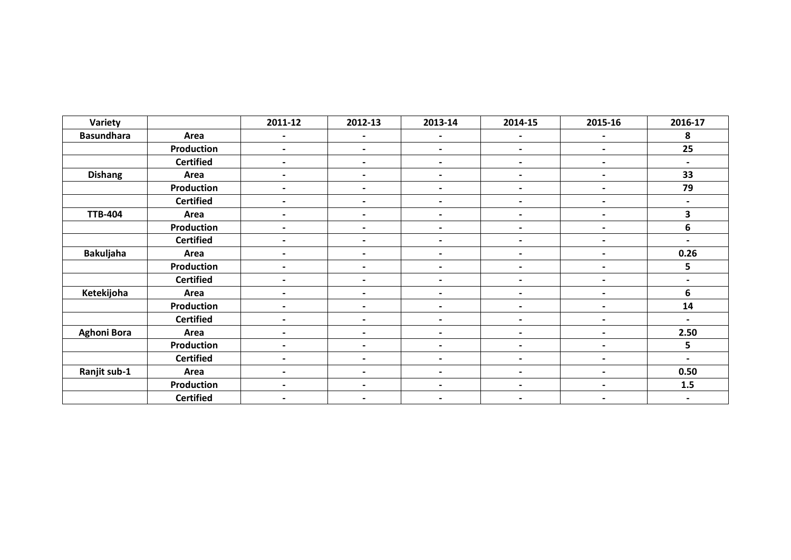| Variety            |                   | 2011-12                  | 2012-13                  | 2013-14                  | 2014-15                  | 2015-16                  | 2016-17                  |
|--------------------|-------------------|--------------------------|--------------------------|--------------------------|--------------------------|--------------------------|--------------------------|
| <b>Basundhara</b>  | Area              | $\overline{\phantom{a}}$ |                          | $\blacksquare$           | $\blacksquare$           |                          | 8                        |
|                    | Production        | $\blacksquare$           | $\overline{\phantom{a}}$ | $\overline{\phantom{a}}$ | $\blacksquare$           | $\blacksquare$           | 25                       |
|                    | <b>Certified</b>  | $\blacksquare$           | $\blacksquare$           | $\blacksquare$           | $\overline{\phantom{0}}$ | $\blacksquare$           | $\blacksquare$           |
| <b>Dishang</b>     | Area              | $\overline{\phantom{0}}$ | $\overline{\phantom{0}}$ | $\blacksquare$           | $\overline{\phantom{a}}$ | $\blacksquare$           | 33                       |
|                    | Production        | $\blacksquare$           | $\overline{\phantom{0}}$ | $\blacksquare$           | $\blacksquare$           | $\blacksquare$           | 79                       |
|                    | <b>Certified</b>  | $\blacksquare$           | $\overline{\phantom{a}}$ | $\blacksquare$           | $\blacksquare$           | $\overline{\phantom{a}}$ | $\blacksquare$           |
| <b>TTB-404</b>     | Area              | $\blacksquare$           | $\overline{\phantom{a}}$ | $\overline{\phantom{a}}$ | $\blacksquare$           | $\blacksquare$           | 3                        |
|                    | Production        | $\overline{\phantom{a}}$ | $\blacksquare$           | $\blacksquare$           | $\blacksquare$           | $\blacksquare$           | 6                        |
|                    | <b>Certified</b>  | $\blacksquare$           | $\overline{\phantom{a}}$ | $\blacksquare$           | $\blacksquare$           | $\overline{\phantom{0}}$ | $\overline{\phantom{0}}$ |
| <b>Bakuljaha</b>   | Area              | $\overline{\phantom{0}}$ |                          | $\blacksquare$           | $\overline{\phantom{0}}$ | $\blacksquare$           | 0.26                     |
|                    | <b>Production</b> | $\blacksquare$           | $\overline{\phantom{a}}$ | $\blacksquare$           | $\blacksquare$           | $\overline{\phantom{0}}$ | 5                        |
|                    | <b>Certified</b>  | $\blacksquare$           | $\blacksquare$           | $\blacksquare$           | $\blacksquare$           | $\blacksquare$           | $\blacksquare$           |
| Ketekijoha         | Area              | $\blacksquare$           |                          | $\overline{\phantom{a}}$ | $\blacksquare$           | $\overline{\phantom{0}}$ | 6                        |
|                    | <b>Production</b> | $\blacksquare$           | $\blacksquare$           | $\blacksquare$           | $\blacksquare$           | $\overline{\phantom{a}}$ | 14                       |
|                    | <b>Certified</b>  | $\blacksquare$           |                          | $\overline{\phantom{a}}$ | $\overline{\phantom{0}}$ | $\blacksquare$           | $\overline{\phantom{0}}$ |
| <b>Aghoni Bora</b> | Area              | $\overline{\phantom{a}}$ | $\blacksquare$           | $\blacksquare$           | $\overline{\phantom{a}}$ | $\blacksquare$           | 2.50                     |
|                    | Production        | $\overline{\phantom{0}}$ | $\blacksquare$           | $\blacksquare$           | $\blacksquare$           | $\overline{\phantom{0}}$ | 5                        |
|                    | <b>Certified</b>  | $\blacksquare$           |                          | $\overline{\phantom{a}}$ | $\blacksquare$           | $\overline{\phantom{0}}$ | $\blacksquare$           |
| Ranjit sub-1       | Area              | $\overline{\phantom{a}}$ | $\blacksquare$           | $\blacksquare$           | $\blacksquare$           | $\overline{\phantom{a}}$ | 0.50                     |
|                    | <b>Production</b> | $\blacksquare$           | $\overline{\phantom{a}}$ | $\blacksquare$           | $\blacksquare$           | $\overline{\phantom{a}}$ | 1.5                      |
|                    | <b>Certified</b>  | $\blacksquare$           | $\blacksquare$           | $\overline{\phantom{a}}$ | $\blacksquare$           | $\overline{\phantom{0}}$ | $\blacksquare$           |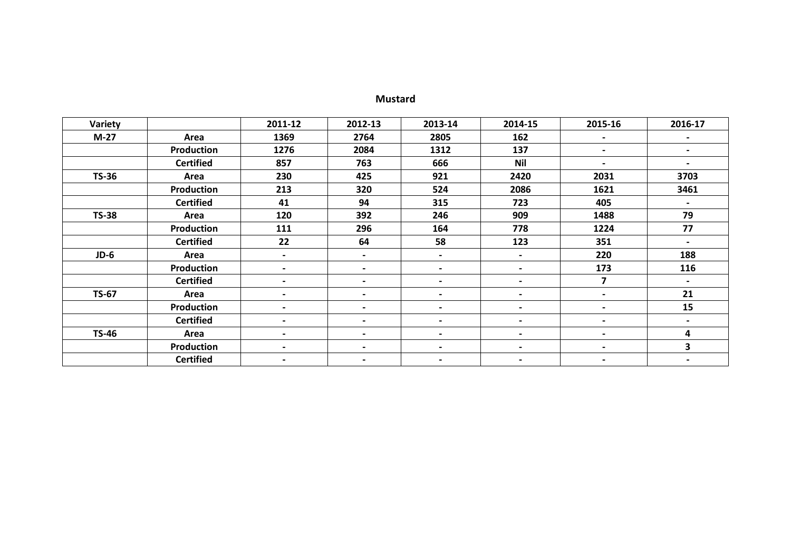# **Mustard**

| Variety      |                   | 2011-12                  | 2012-13                  | 2013-14                  | 2014-15                  | 2015-16                  | 2016-17                  |
|--------------|-------------------|--------------------------|--------------------------|--------------------------|--------------------------|--------------------------|--------------------------|
| $M-27$       | Area              | 1369                     | 2764                     | 2805                     | 162                      | $\overline{\phantom{a}}$ |                          |
|              | <b>Production</b> | 1276                     | 2084                     | 1312                     | 137                      | $\blacksquare$           | $\blacksquare$           |
|              | <b>Certified</b>  | 857                      | 763                      | 666                      | <b>Nil</b>               | $\overline{\phantom{0}}$ | $\overline{\phantom{a}}$ |
| <b>TS-36</b> | Area              | 230                      | 425                      | 921                      | 2420                     | 2031                     | 3703                     |
|              | <b>Production</b> | 213                      | 320                      | 524                      | 2086                     | 1621                     | 3461                     |
|              | <b>Certified</b>  | 41                       | 94                       | 315                      | 723                      | 405                      | $\overline{\phantom{a}}$ |
| <b>TS-38</b> | Area              | 120                      | 392                      | 246                      | 909                      | 1488                     | 79                       |
|              | <b>Production</b> | 111                      | 296                      | 164                      | 778                      | 1224                     | 77                       |
|              | <b>Certified</b>  | 22                       | 64                       | 58                       | 123                      | 351                      | $\blacksquare$           |
| $JD-6$       | Area              | $\overline{\phantom{0}}$ | $\blacksquare$           | $\overline{\phantom{a}}$ | $\blacksquare$           | 220                      | 188                      |
|              | Production        | $\overline{\phantom{0}}$ | $\overline{\phantom{0}}$ | $\blacksquare$           | $\blacksquare$           | 173                      | 116                      |
|              | <b>Certified</b>  | $\blacksquare$           | $\overline{\phantom{0}}$ | $\blacksquare$           |                          | 7                        | $\blacksquare$           |
| <b>TS-67</b> | Area              | $\blacksquare$           | $\blacksquare$           | $\blacksquare$           | $\overline{\phantom{a}}$ | $\blacksquare$           | 21                       |
|              | <b>Production</b> |                          |                          | $\blacksquare$           |                          | $\overline{\phantom{a}}$ | 15                       |
|              | <b>Certified</b>  |                          |                          | $\blacksquare$           |                          | $\overline{\phantom{a}}$ |                          |
| <b>TS-46</b> | Area              | $\blacksquare$           | $\overline{\phantom{0}}$ | $\blacksquare$           | $\blacksquare$           | $\overline{\phantom{0}}$ | 4                        |
|              | <b>Production</b> |                          | $\blacksquare$           | $\blacksquare$           | $\overline{\phantom{0}}$ | $\overline{\phantom{a}}$ | 3                        |
|              | <b>Certified</b>  | $\blacksquare$           | $\overline{\phantom{0}}$ | $\blacksquare$           | $\blacksquare$           | $\blacksquare$           | $\blacksquare$           |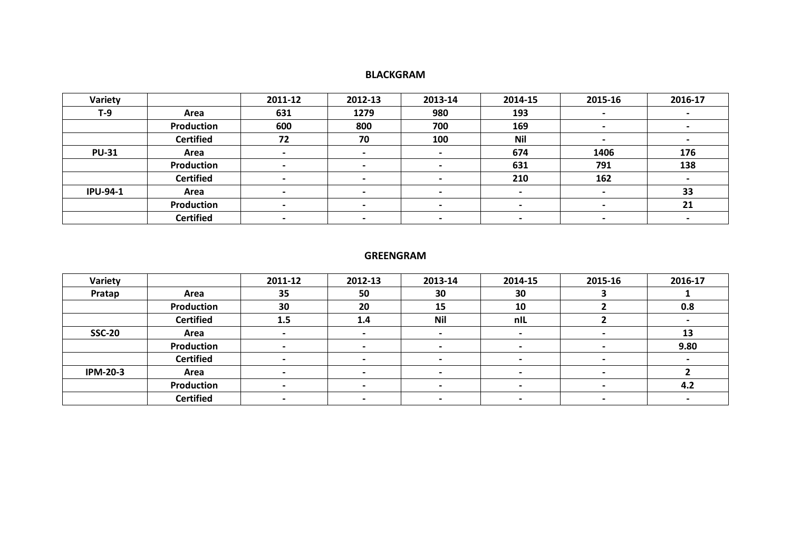## **BLACKGRAM**

| Variety         |                  | 2011-12 | 2012-13 | 2013-14        | 2014-15    | 2015-16                  | 2016-17 |
|-----------------|------------------|---------|---------|----------------|------------|--------------------------|---------|
| $T-9$           | Area             | 631     | 1279    | 980            | 193        |                          |         |
|                 | Production       | 600     | 800     | 700            | 169        | $\overline{\phantom{0}}$ |         |
|                 | <b>Certified</b> | 72      | 70      | 100            | <b>Nil</b> |                          |         |
| <b>PU-31</b>    | Area             |         |         |                | 674        | 1406                     | 176     |
|                 | Production       |         |         | $\blacksquare$ | 631        | 791                      | 138     |
|                 | <b>Certified</b> |         |         |                | 210        | 162                      |         |
| <b>IPU-94-1</b> | Area             |         |         |                |            |                          | 33      |
|                 | Production       |         |         |                |            |                          | 21      |
|                 | <b>Certified</b> |         |         |                |            |                          |         |

## **GREENGRAM**

| Variety         |                  | 2011-12 | 2012-13 | 2013-14                  | 2014-15                  | 2015-16 | 2016-17 |
|-----------------|------------------|---------|---------|--------------------------|--------------------------|---------|---------|
| Pratap          | Area             | 35      | 50      | 30                       | 30                       |         |         |
|                 | Production       | 30      | 20      | 15                       | 10                       |         | 0.8     |
|                 | <b>Certified</b> | 1.5     | 1.4     | <b>Nil</b>               | nIL                      |         |         |
| <b>SSC-20</b>   | Area             |         |         | $\blacksquare$           |                          |         | 13      |
|                 | Production       |         |         | $\blacksquare$           |                          |         | 9.80    |
|                 | <b>Certified</b> |         |         |                          |                          |         |         |
| <b>IPM-20-3</b> | Area             |         |         | $\blacksquare$           | $\overline{\phantom{0}}$ |         |         |
|                 | Production       |         |         | $\blacksquare$           | $\overline{\phantom{0}}$ |         | 4.2     |
|                 | <b>Certified</b> |         |         | $\overline{\phantom{0}}$ |                          |         |         |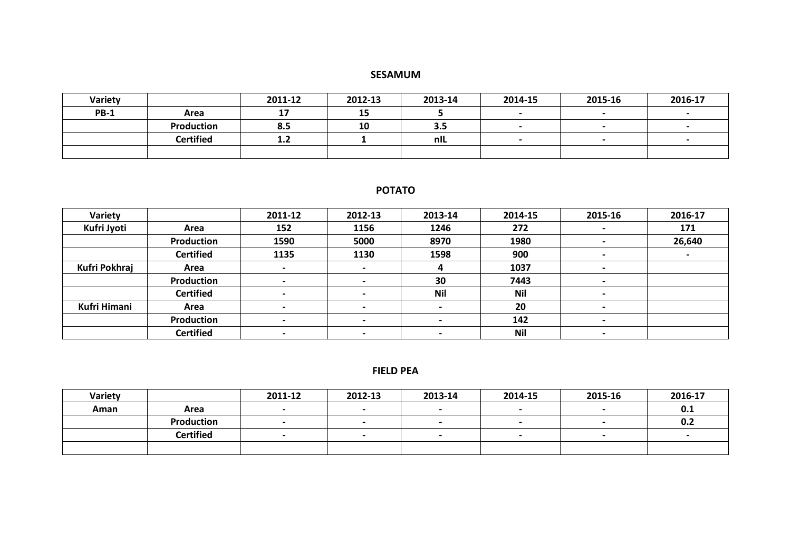## **SESAMUM**

| <b>Variety</b> |                  | 2011-12       | 2012-13             | 2013-14 | 2014-15                  | 2015-16                  | 2016-17 |
|----------------|------------------|---------------|---------------------|---------|--------------------------|--------------------------|---------|
| <b>PB-1</b>    | Area             | $\sim$<br>. . | $\sim$ $\sim$<br>TЭ |         | $\overline{\phantom{0}}$ | $\overline{\phantom{0}}$ |         |
|                | Production       | 8.5           | 10                  | 3.5     |                          |                          |         |
|                | <b>Certified</b> | 1.2           |                     | nIL     | $\overline{\phantom{0}}$ | $\overline{\phantom{0}}$ |         |
|                |                  |               |                     |         |                          |                          |         |

# **POTATO**

| Variety             |                  | 2011-12 | 2012-13                  | 2013-14                  | 2014-15    | 2015-16                  | 2016-17 |
|---------------------|------------------|---------|--------------------------|--------------------------|------------|--------------------------|---------|
| Kufri Jyoti         | Area             | 152     | 1156                     | 1246                     | 272        |                          | 171     |
|                     | Production       | 1590    | 5000                     | 8970                     | 1980       |                          | 26,640  |
|                     | <b>Certified</b> | 1135    | 1130                     | 1598                     | 900        | $\blacksquare$           |         |
| Kufri Pokhraj       | Area             |         | $\overline{\phantom{0}}$ | д                        | 1037       |                          |         |
|                     | Production       |         |                          | 30                       | 7443       |                          |         |
|                     | <b>Certified</b> |         |                          | <b>Nil</b>               | <b>Nil</b> |                          |         |
| <b>Kufri Himani</b> | Area             |         |                          |                          | 20         |                          |         |
|                     | Production       |         |                          |                          | 142        |                          |         |
|                     | <b>Certified</b> |         |                          | $\overline{\phantom{0}}$ | <b>Nil</b> | $\overline{\phantom{0}}$ |         |

## **FIELD PEA**

| Variety |                  | 2011-12 | 2012-13 | 2013-14                  | 2014-15                  | 2015-16                  | 2016-17 |
|---------|------------------|---------|---------|--------------------------|--------------------------|--------------------------|---------|
| Aman    | Area             |         |         |                          |                          |                          | 0.1     |
|         | Production       |         |         | $\overline{\phantom{0}}$ | $\overline{\phantom{0}}$ | $\overline{\phantom{0}}$ | 0.2     |
|         | <b>Certified</b> |         |         |                          |                          | $\overline{\phantom{0}}$ |         |
|         |                  |         |         |                          |                          |                          |         |